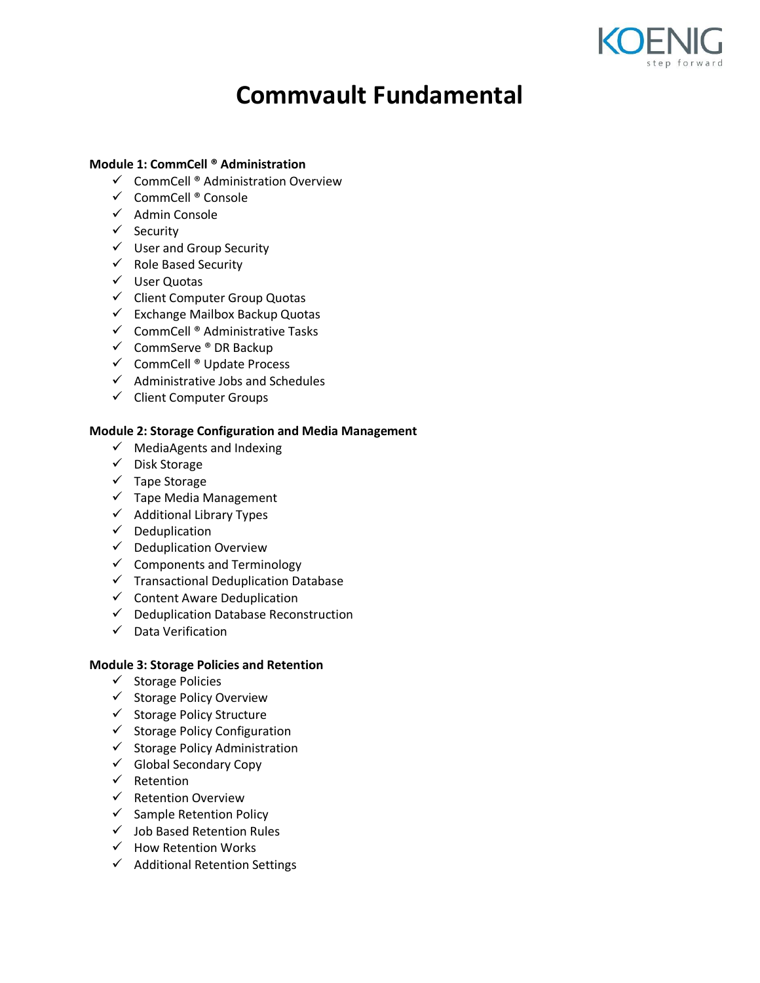

# **Commvault Fundamental**

## **Module 1: CommCell ® Administration**

- $\checkmark$  CommCell ® Administration Overview
- $\checkmark$  CommCell ® Console
- $\checkmark$  Admin Console
- $\checkmark$  Security
- $\checkmark$  User and Group Security
- $\checkmark$  Role Based Security
- User Quotas
- $\checkmark$  Client Computer Group Quotas
- $\checkmark$  Exchange Mailbox Backup Quotas
- $\checkmark$  CommCell ® Administrative Tasks
- $\checkmark$  CommServe ® DR Backup
- $\checkmark$  CommCell ® Update Process
- $\checkmark$  Administrative Jobs and Schedules
- $\checkmark$  Client Computer Groups

#### **Module 2: Storage Configuration and Media Management**

- $\checkmark$  MediaAgents and Indexing
- $\checkmark$  Disk Storage
- $\checkmark$  Tape Storage
- $\checkmark$  Tape Media Management
- $\checkmark$  Additional Library Types
- $\checkmark$  Deduplication
- $\checkmark$  Deduplication Overview
- $\checkmark$  Components and Terminology
- $\checkmark$  Transactional Deduplication Database
- $\checkmark$  Content Aware Deduplication
- $\checkmark$  Deduplication Database Reconstruction
- $\checkmark$  Data Verification

## **Module 3: Storage Policies and Retention**

- $\checkmark$  Storage Policies
- $\checkmark$  Storage Policy Overview
- $\checkmark$  Storage Policy Structure
- $\checkmark$  Storage Policy Configuration
- $\checkmark$  Storage Policy Administration
- $\checkmark$  Global Secondary Copy
- $\checkmark$  Retention
- $\checkmark$  Retention Overview
- $\checkmark$  Sample Retention Policy
- $\checkmark$  Job Based Retention Rules
- $\checkmark$  How Retention Works
- $\checkmark$  Additional Retention Settings